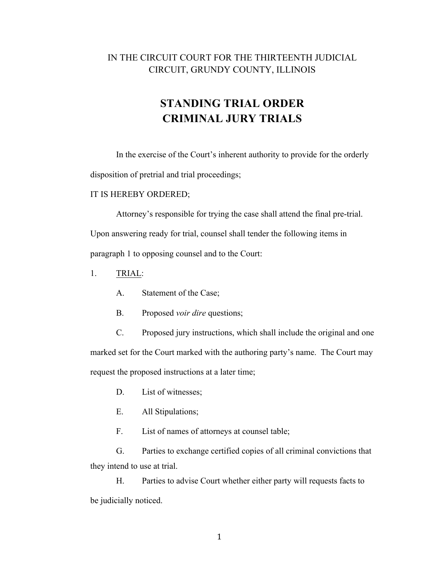## IN THE CIRCUIT COURT FOR THE THIRTEENTH JUDICIAL CIRCUIT, GRUNDY COUNTY, ILLINOIS

## **STANDING TRIAL ORDER CRIMINAL JURY TRIALS**

In the exercise of the Court's inherent authority to provide for the orderly disposition of pretrial and trial proceedings;

## IT IS HEREBY ORDERED;

Attorney's responsible for trying the case shall attend the final pre-trial. Upon answering ready for trial, counsel shall tender the following items in paragraph 1 to opposing counsel and to the Court:

- 1. TRIAL:
	- A. Statement of the Case;
	- B. Proposed *voir dire* questions;

C. Proposed jury instructions, which shall include the original and one marked set for the Court marked with the authoring party's name. The Court may request the proposed instructions at a later time;

- D. List of witnesses;
- E. All Stipulations;

F. List of names of attorneys at counsel table;

G. Parties to exchange certified copies of all criminal convictions that they intend to use at trial.

H. Parties to advise Court whether either party will requests facts to be judicially noticed.

1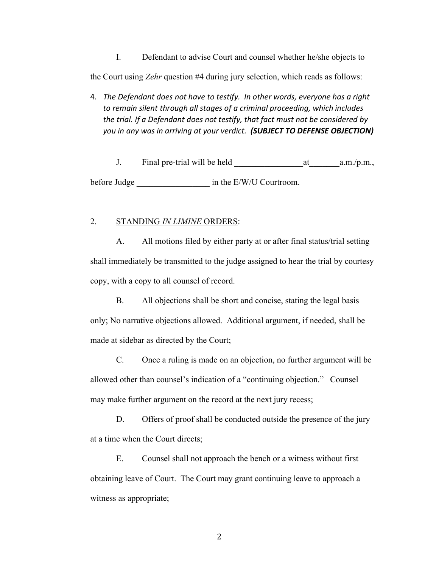I. Defendant to advise Court and counsel whether he/she objects to

the Court using *Zehr* question #4 during jury selection, which reads as follows:

4. *The Defendant does not have to testify. In other words, everyone has a right to remain silent through all stages of a criminal proceeding, which includes the trial. If a Defendant does not testify, that fact must not be considered by you in any was in arriving at your verdict. (SUBJECT TO DEFENSE OBJECTION)*

J. Final pre-trial will be held a.m./p.m., before Judge  $\qquad \qquad$  in the E/W/U Courtroom.

## 2. STANDING *IN LIMINE* ORDERS:

A. All motions filed by either party at or after final status/trial setting shall immediately be transmitted to the judge assigned to hear the trial by courtesy copy, with a copy to all counsel of record.

B. All objections shall be short and concise, stating the legal basis only; No narrative objections allowed. Additional argument, if needed, shall be made at sidebar as directed by the Court;

C. Once a ruling is made on an objection, no further argument will be allowed other than counsel's indication of a "continuing objection." Counsel may make further argument on the record at the next jury recess;

D. Offers of proof shall be conducted outside the presence of the jury at a time when the Court directs;

E. Counsel shall not approach the bench or a witness without first obtaining leave of Court. The Court may grant continuing leave to approach a witness as appropriate;

2